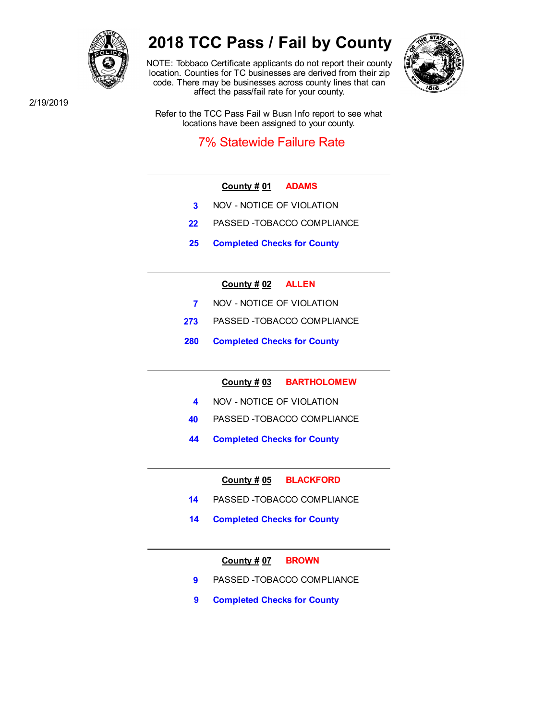

# **2018 TCC Pass / Fail by County**

NOTE: Tobbaco Certificate applicants do not report their county location. Counties for TC businesses are derived from their zip code. There may be businesses across county lines that can affect the pass/fail rate for your county.



2/19/2019

Refer to the TCC Pass Fail w Busn Info report to see what locations have been assigned to your county.

# 7% Statewide Failure Rate

- **County # 01 ADAMS**
- **3** NOV NOTICE OF VIOLATION
- **22** PASSED -TOBACCO COMPLIANCE
- **25 Completed Checks for County**

# **County # 02 ALLEN**

- **7** NOV NOTICE OF VIOLATION
- **273** PASSED -TOBACCO COMPLIANCE
- **280 Completed Checks for County**

**County # 03 BARTHOLOMEW**

- **4** NOV NOTICE OF VIOLATION
- **40** PASSED -TOBACCO COMPLIANCE
- **44 Completed Checks for County**

**County # 05 BLACKFORD**

- **14** PASSED -TOBACCO COMPLIANCE
- **14 Completed Checks for County**

**County # 07 BROWN**

- **9** PASSED -TOBACCO COMPLIANCE
- **9 Completed Checks for County**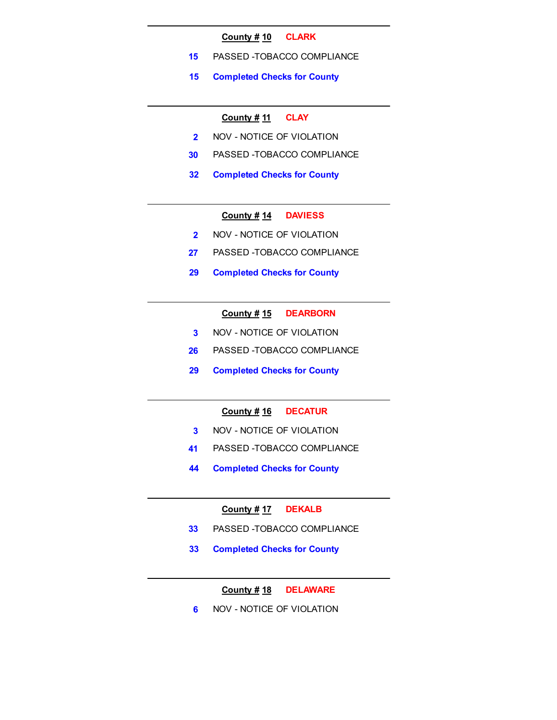#### **County # 10 CLARK**

- **15** PASSED -TOBACCO COMPLIANCE
- **15 Completed Checks for County**

#### **County # 11 CLAY**

- **2** NOV NOTICE OF VIOLATION
- **30** PASSED -TOBACCO COMPLIANCE
- **32 Completed Checks for County**

# **County # 14 DAVIESS**

- **2** NOV NOTICE OF VIOLATION
- **27** PASSED -TOBACCO COMPLIANCE
- **29 Completed Checks for County**

# **County # 15 DEARBORN**

- **3** NOV NOTICE OF VIOLATION
- **26** PASSED -TOBACCO COMPLIANCE
- **29 Completed Checks for County**

# **County # 16 DECATUR**

- **3** NOV NOTICE OF VIOLATION
- **41** PASSED -TOBACCO COMPLIANCE
- **44 Completed Checks for County**

# **County # 17 DEKALB**

- **33** PASSED -TOBACCO COMPLIANCE
- **33 Completed Checks for County**

# **County # 18 DELAWARE**

**6 NOV - NOTICE OF VIOLATION**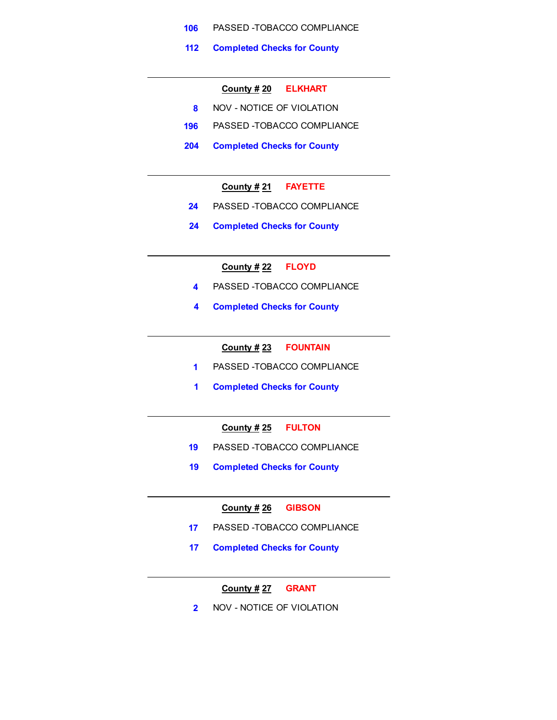- **106** PASSED -TOBACCO COMPLIANCE
- **112 Completed Checks for County**

#### **County # 20 ELKHART**

- **8** NOV NOTICE OF VIOLATION
- **196** PASSED -TOBACCO COMPLIANCE
- **204 Completed Checks for County**

# **County # 21 FAYETTE**

- **24** PASSED -TOBACCO COMPLIANCE
- **24 Completed Checks for County**

# **County # 22 FLOYD**

- **4** PASSED -TOBACCO COMPLIANCE
- **4 Completed Checks for County**

# **County # 23 FOUNTAIN**

- **1** PASSED -TOBACCO COMPLIANCE
- **1 Completed Checks for County**

# **County # 25 FULTON**

- **19** PASSED -TOBACCO COMPLIANCE
- **19 Completed Checks for County**

# **County # 26 GIBSON**

- **17** PASSED -TOBACCO COMPLIANCE
- **17 Completed Checks for County**

# **County # 27 GRANT**

**2** NOV - NOTICE OF VIOLATION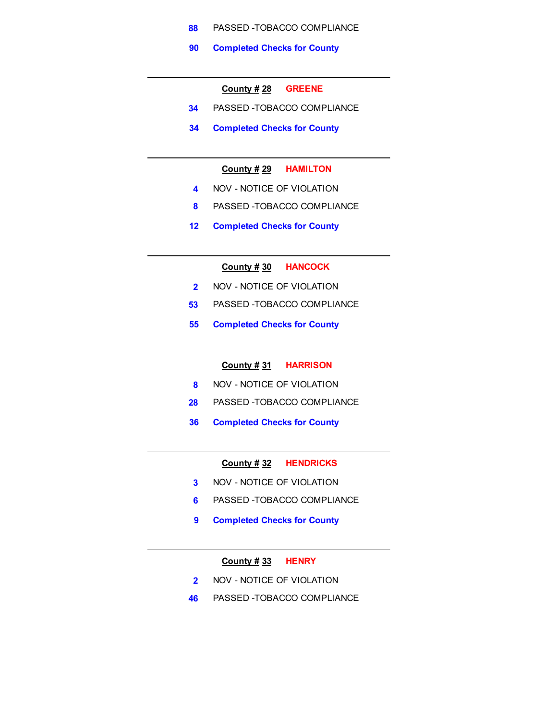- **88** PASSED -TOBACCO COMPLIANCE
- **90 Completed Checks for County**

#### **County # 28 GREENE**

- **34** PASSED -TOBACCO COMPLIANCE
- **34 Completed Checks for County**

# **County # 29 HAMILTON**

- **4** NOV NOTICE OF VIOLATION
- **8** PASSED -TOBACCO COMPLIANCE
- **12 Completed Checks for County**

# **County # 30 HANCOCK**

- **2** NOV NOTICE OF VIOLATION
- **53** PASSED -TOBACCO COMPLIANCE
- **55 Completed Checks for County**

#### **County # 31 HARRISON**

- **8** NOV NOTICE OF VIOLATION
- **28** PASSED -TOBACCO COMPLIANCE
- **36 Completed Checks for County**

#### **County # 32 HENDRICKS**

- **3** NOV NOTICE OF VIOLATION
- **6** PASSED -TOBACCO COMPLIANCE
- **9 Completed Checks for County**

# **County # 33 HENRY**

- **2** NOV NOTICE OF VIOLATION
- **46** PASSED -TOBACCO COMPLIANCE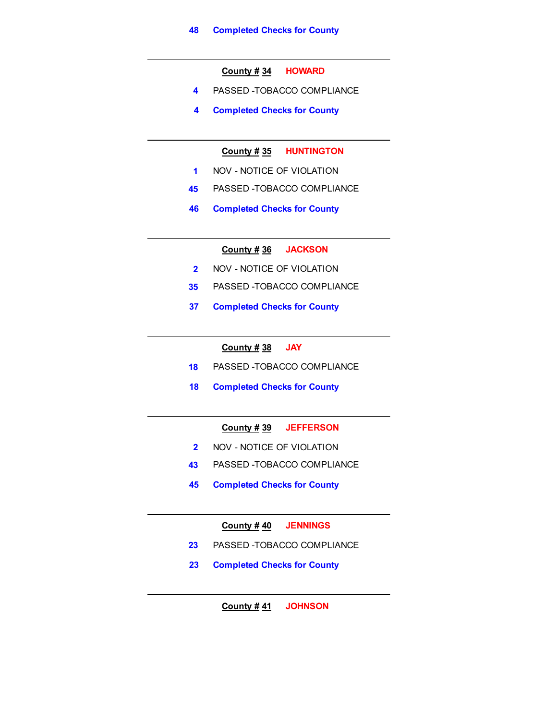**County # 34 HOWARD**

- **4** PASSED -TOBACCO COMPLIANCE
- **4 Completed Checks for County**

**County # 35 HUNTINGTON**

- **1** NOV NOTICE OF VIOLATION
- **45** PASSED -TOBACCO COMPLIANCE
- **46 Completed Checks for County**

**County # 36 JACKSON**

- **2** NOV NOTICE OF VIOLATION
- **35** PASSED -TOBACCO COMPLIANCE
- **37 Completed Checks for County**

**County # 38 JAY**

- **18** PASSED -TOBACCO COMPLIANCE
- **18 Completed Checks for County**

# **County # 39 JEFFERSON**

- **2** NOV NOTICE OF VIOLATION
- **43** PASSED -TOBACCO COMPLIANCE
- **45 Completed Checks for County**

**County # 40 JENNINGS**

- **23** PASSED -TOBACCO COMPLIANCE
- **23 Completed Checks for County**

**County # 41 JOHNSON**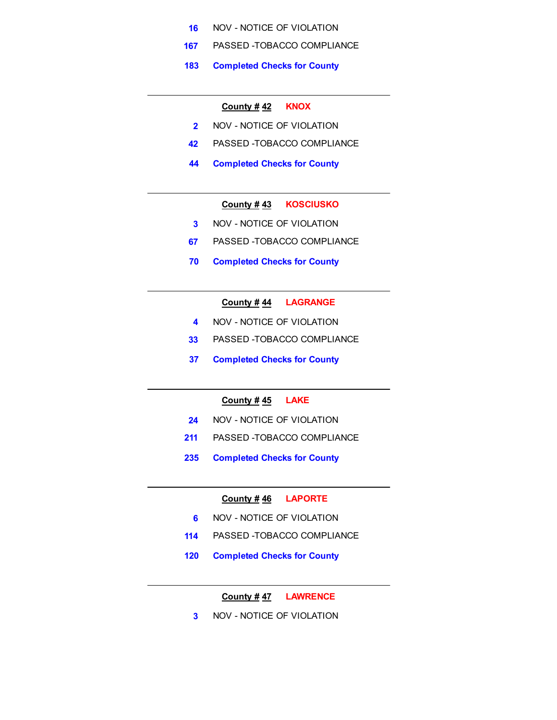- **16** NOV NOTICE OF VIOLATION
- **167** PASSED -TOBACCO COMPLIANCE
- **183 Completed Checks for County**

# **County # 42 KNOX**

- **2** NOV NOTICE OF VIOLATION
- **42** PASSED -TOBACCO COMPLIANCE
- **44 Completed Checks for County**

# **County # 43 KOSCIUSKO**

- **3** NOV NOTICE OF VIOLATION
- **67** PASSED -TOBACCO COMPLIANCE
- **70 Completed Checks for County**

#### **County # 44 LAGRANGE**

- **4 NOV NOTICE OF VIOLATION**
- **33** PASSED -TOBACCO COMPLIANCE
- **37 Completed Checks for County**

# **County # 45 LAKE**

- **24** NOV NOTICE OF VIOLATION
- **211** PASSED -TOBACCO COMPLIANCE
- **235 Completed Checks for County**

#### **County # 46 LAPORTE**

- **6 NOV NOTICE OF VIOLATION**
- **114** PASSED -TOBACCO COMPLIANCE
- **120 Completed Checks for County**

**County # 47 LAWRENCE**

**3** NOV - NOTICE OF VIOLATION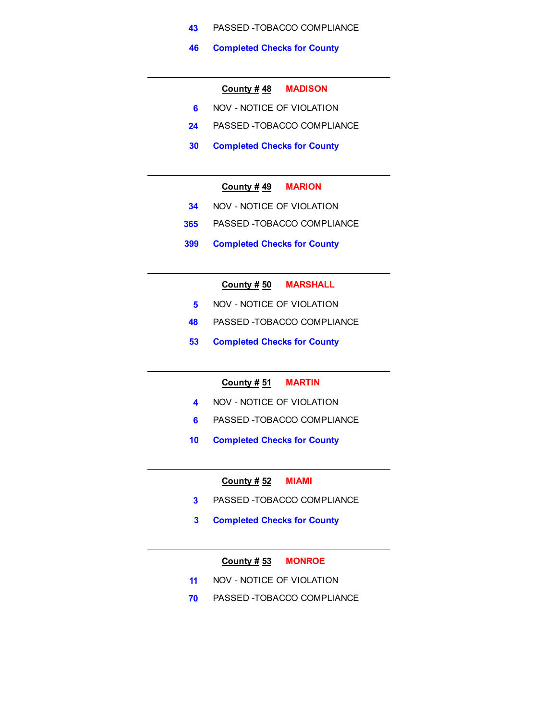- **43** PASSED -TOBACCO COMPLIANCE
- **46 Completed Checks for County**

#### **County # 48 MADISON**

- **6 NOV NOTICE OF VIOLATION**
- **24** PASSED -TOBACCO COMPLIANCE
- **30 Completed Checks for County**

#### **County # 49 MARION**

- **34** NOV NOTICE OF VIOLATION
- **365** PASSED -TOBACCO COMPLIANCE
- **399 Completed Checks for County**

# **County # 50 MARSHALL**

- **5 NOV NOTICE OF VIOLATION**
- **48** PASSED -TOBACCO COMPLIANCE
- **53 Completed Checks for County**

# **County # 51 MARTIN**

- **4** NOV NOTICE OF VIOLATION
- **6** PASSED -TOBACCO COMPLIANCE
- **10 Completed Checks for County**

#### **County # 52 MIAMI**

- **3** PASSED -TOBACCO COMPLIANCE
- **3 Completed Checks for County**

### **County # 53 MONROE**

- **11** NOV NOTICE OF VIOLATION
- **70** PASSED -TOBACCO COMPLIANCE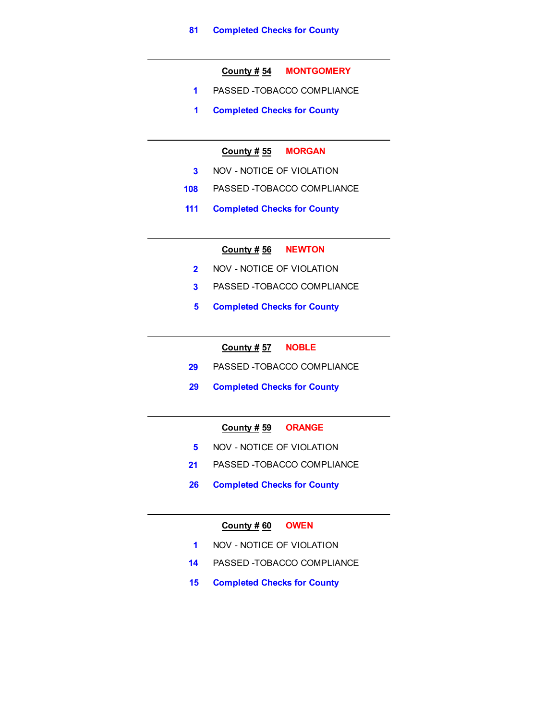#### **County # 54 MONTGOMERY**

- **1** PASSED -TOBACCO COMPLIANCE
- **1 Completed Checks for County**

# **County # 55 MORGAN**

- **3** NOV NOTICE OF VIOLATION
- **108** PASSED -TOBACCO COMPLIANCE
- **111 Completed Checks for County**

#### **County # 56 NEWTON**

- **2** NOV NOTICE OF VIOLATION
- **3** PASSED -TOBACCO COMPLIANCE
- **5 Completed Checks for County**

# **County # 57 NOBLE**

- **29** PASSED -TOBACCO COMPLIANCE
- **29 Completed Checks for County**

# **County # 59 ORANGE**

- **5** NOV NOTICE OF VIOLATION
- **21** PASSED -TOBACCO COMPLIANCE
- **26 Completed Checks for County**

#### **County # 60 OWEN**

- **1** NOV NOTICE OF VIOLATION
- **14** PASSED -TOBACCO COMPLIANCE
- **15 Completed Checks for County**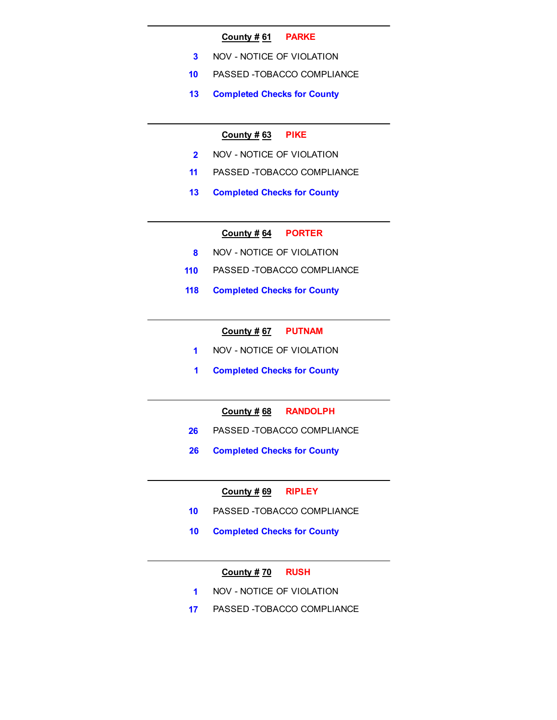#### **County # 61 PARKE**

- **3** NOV NOTICE OF VIOLATION
- **10** PASSED -TOBACCO COMPLIANCE
- **13 Completed Checks for County**

#### **County # 63 PIKE**

- **2** NOV NOTICE OF VIOLATION
- **11** PASSED -TOBACCO COMPLIANCE
- **13 Completed Checks for County**

#### **County # 64 PORTER**

- **8** NOV NOTICE OF VIOLATION
- **110** PASSED -TOBACCO COMPLIANCE
- **118 Completed Checks for County**

#### **County # 67 PUTNAM**

- **1** NOV NOTICE OF VIOLATION
- **1 Completed Checks for County**

# **County # 68 RANDOLPH**

- **26** PASSED -TOBACCO COMPLIANCE
- **26 Completed Checks for County**

#### **County # 69 RIPLEY**

- **10** PASSED -TOBACCO COMPLIANCE
- **10 Completed Checks for County**

#### **County # 70 RUSH**

- **1** NOV NOTICE OF VIOLATION
- **17** PASSED -TOBACCO COMPLIANCE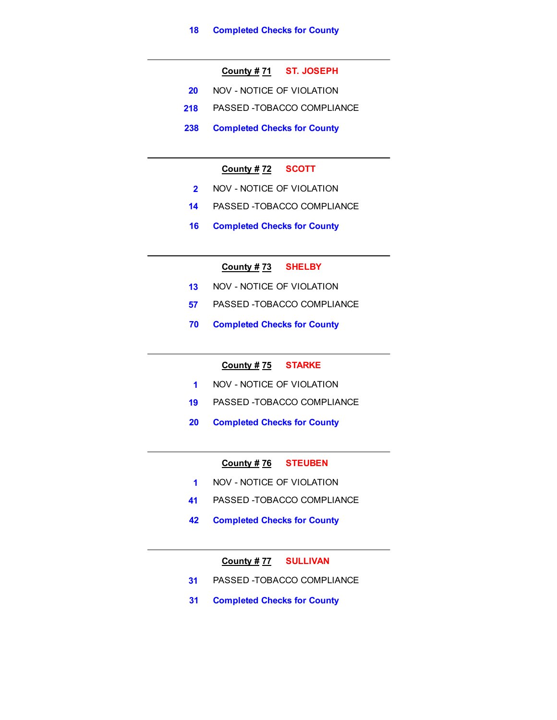# **County # 71 ST. JOSEPH**

- **20** NOV NOTICE OF VIOLATION
- **218** PASSED -TOBACCO COMPLIANCE
- **238 Completed Checks for County**

# **County # 72 SCOTT**

- **2** NOV NOTICE OF VIOLATION
- **14** PASSED -TOBACCO COMPLIANCE
- **16 Completed Checks for County**

# **County # 73 SHELBY**

- **13** NOV NOTICE OF VIOLATION
- **57** PASSED -TOBACCO COMPLIANCE
- **70 Completed Checks for County**

# **County # 75 STARKE**

- **1** NOV NOTICE OF VIOLATION
- **19** PASSED -TOBACCO COMPLIANCE
- **20 Completed Checks for County**

#### **County # 76 STEUBEN**

- **1** NOV NOTICE OF VIOLATION
- **41** PASSED -TOBACCO COMPLIANCE
- **42 Completed Checks for County**

**County # 77 SULLIVAN**

- **31** PASSED -TOBACCO COMPLIANCE
- **31 Completed Checks for County**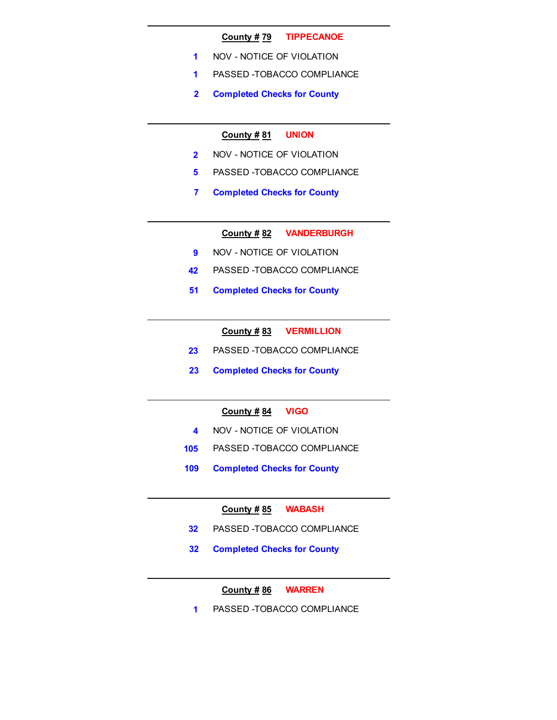#### **County # 79 TIPPECANOE**

- **1** NOV NOTICE OF VIOLATION
- **1** PASSED -TOBACCO COMPLIANCE
- **2 Completed Checks for County**

#### **County # 81 UNION**

- **2** NOV NOTICE OF VIOLATION
- **5** PASSED -TOBACCO COMPLIANCE
- **7 Completed Checks for County**

**County # 82 VANDERBURGH**

- **9** NOV NOTICE OF VIOLATION
- **42** PASSED -TOBACCO COMPLIANCE
- **51 Completed Checks for County**

**County # 83 VERMILLION**

- **23** PASSED -TOBACCO COMPLIANCE
- **23 Completed Checks for County**

# **County # 84 VIGO**

- **4** NOV NOTICE OF VIOLATION
- **105** PASSED -TOBACCO COMPLIANCE
- **109 Completed Checks for County**

#### **County # 85 WABASH**

- **32** PASSED -TOBACCO COMPLIANCE
- **32 Completed Checks for County**

# **County # 86 WARREN**

**1** PASSED -TOBACCO COMPLIANCE